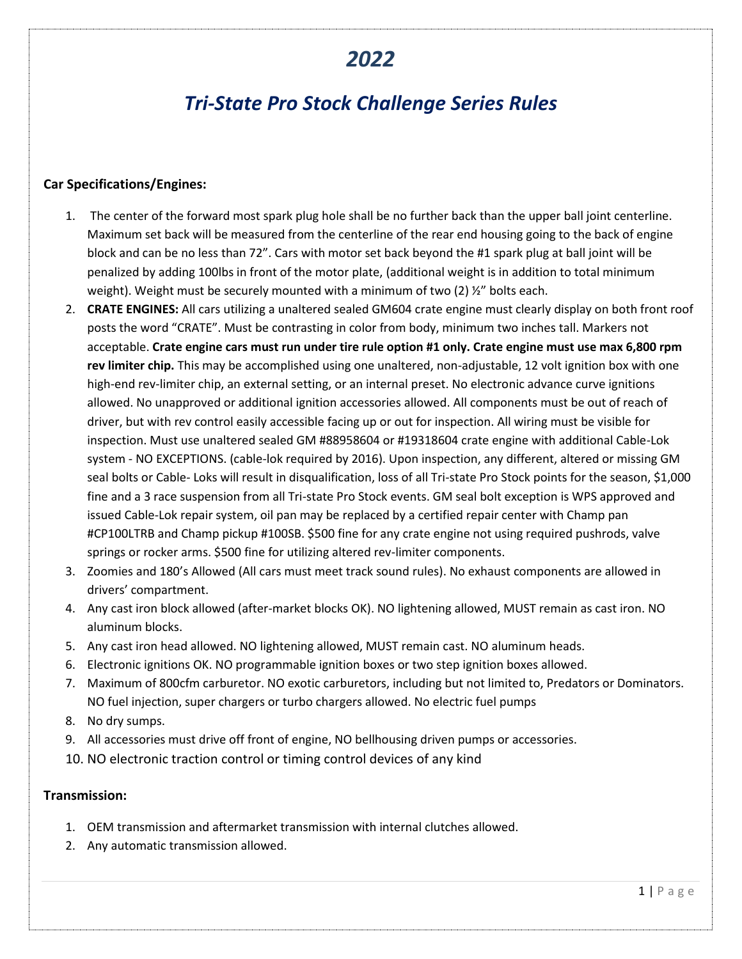## *2022*

# *Tri-State Pro Stock Challenge Series Rules*

#### **Car Specifications/Engines:**

- 1. The center of the forward most spark plug hole shall be no further back than the upper ball joint centerline. Maximum set back will be measured from the centerline of the rear end housing going to the back of engine block and can be no less than 72". Cars with motor set back beyond the #1 spark plug at ball joint will be penalized by adding 100lbs in front of the motor plate, (additional weight is in addition to total minimum weight). Weight must be securely mounted with a minimum of two  $(2)$   $\frac{1}{2}$  bolts each.
- 2. **CRATE ENGINES:** All cars utilizing a unaltered sealed GM604 crate engine must clearly display on both front roof posts the word "CRATE". Must be contrasting in color from body, minimum two inches tall. Markers not acceptable. **Crate engine cars must run under tire rule option #1 only. Crate engine must use max 6,800 rpm rev limiter chip.** This may be accomplished using one unaltered, non-adjustable, 12 volt ignition box with one high-end rev-limiter chip, an external setting, or an internal preset. No electronic advance curve ignitions allowed. No unapproved or additional ignition accessories allowed. All components must be out of reach of driver, but with rev control easily accessible facing up or out for inspection. All wiring must be visible for inspection. Must use unaltered sealed GM #88958604 or #19318604 crate engine with additional Cable-Lok system - NO EXCEPTIONS. (cable-lok required by 2016). Upon inspection, any different, altered or missing GM seal bolts or Cable- Loks will result in disqualification, loss of all Tri-state Pro Stock points for the season, \$1,000 fine and a 3 race suspension from all Tri-state Pro Stock events. GM seal bolt exception is WPS approved and issued Cable-Lok repair system, oil pan may be replaced by a certified repair center with Champ pan #CP100LTRB and Champ pickup #100SB. \$500 fine for any crate engine not using required pushrods, valve springs or rocker arms. \$500 fine for utilizing altered rev-limiter components.
- 3. Zoomies and 180's Allowed (All cars must meet track sound rules). No exhaust components are allowed in drivers' compartment.
- 4. Any cast iron block allowed (after-market blocks OK). NO lightening allowed, MUST remain as cast iron. NO aluminum blocks.
- 5. Any cast iron head allowed. NO lightening allowed, MUST remain cast. NO aluminum heads.
- 6. Electronic ignitions OK. NO programmable ignition boxes or two step ignition boxes allowed.
- 7. Maximum of 800cfm carburetor. NO exotic carburetors, including but not limited to, Predators or Dominators. NO fuel injection, super chargers or turbo chargers allowed. No electric fuel pumps
- 8. No dry sumps.
- 9. All accessories must drive off front of engine, NO bellhousing driven pumps or accessories.
- 10. NO electronic traction control or timing control devices of any kind

#### **Transmission:**

- 1. OEM transmission and aftermarket transmission with internal clutches allowed.
- 2. Any automatic transmission allowed.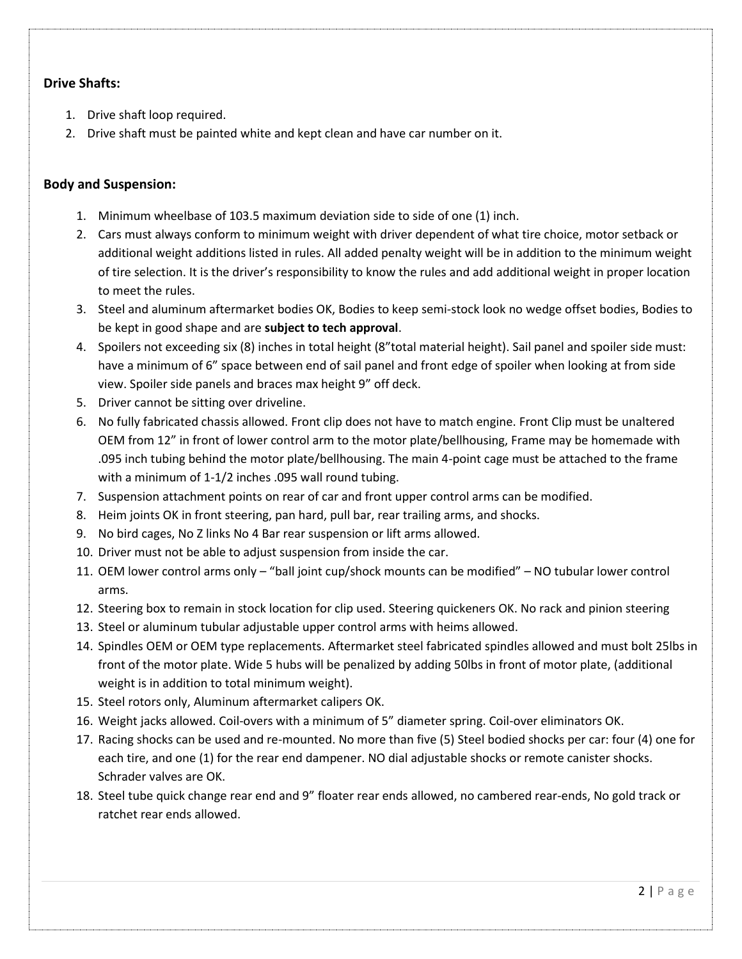## **Drive Shafts:**

- 1. Drive shaft loop required.
- 2. Drive shaft must be painted white and kept clean and have car number on it.

#### **Body and Suspension:**

- 1. Minimum wheelbase of 103.5 maximum deviation side to side of one (1) inch.
- 2. Cars must always conform to minimum weight with driver dependent of what tire choice, motor setback or additional weight additions listed in rules. All added penalty weight will be in addition to the minimum weight of tire selection. It is the driver's responsibility to know the rules and add additional weight in proper location to meet the rules.
- 3. Steel and aluminum aftermarket bodies OK, Bodies to keep semi-stock look no wedge offset bodies, Bodies to be kept in good shape and are **subject to tech approval**.
- 4. Spoilers not exceeding six (8) inches in total height (8"total material height). Sail panel and spoiler side must: have a minimum of 6" space between end of sail panel and front edge of spoiler when looking at from side view. Spoiler side panels and braces max height 9" off deck.
- 5. Driver cannot be sitting over driveline.
- 6. No fully fabricated chassis allowed. Front clip does not have to match engine. Front Clip must be unaltered OEM from 12" in front of lower control arm to the motor plate/bellhousing, Frame may be homemade with .095 inch tubing behind the motor plate/bellhousing. The main 4-point cage must be attached to the frame with a minimum of 1-1/2 inches .095 wall round tubing.
- 7. Suspension attachment points on rear of car and front upper control arms can be modified.
- 8. Heim joints OK in front steering, pan hard, pull bar, rear trailing arms, and shocks.
- 9. No bird cages, No Z links No 4 Bar rear suspension or lift arms allowed.
- 10. Driver must not be able to adjust suspension from inside the car.
- 11. OEM lower control arms only "ball joint cup/shock mounts can be modified" NO tubular lower control arms.
- 12. Steering box to remain in stock location for clip used. Steering quickeners OK. No rack and pinion steering
- 13. Steel or aluminum tubular adjustable upper control arms with heims allowed.
- 14. Spindles OEM or OEM type replacements. Aftermarket steel fabricated spindles allowed and must bolt 25lbs in front of the motor plate. Wide 5 hubs will be penalized by adding 50lbs in front of motor plate, (additional weight is in addition to total minimum weight).
- 15. Steel rotors only, Aluminum aftermarket calipers OK.
- 16. Weight jacks allowed. Coil-overs with a minimum of 5" diameter spring. Coil-over eliminators OK.
- 17. Racing shocks can be used and re-mounted. No more than five (5) Steel bodied shocks per car: four (4) one for each tire, and one (1) for the rear end dampener. NO dial adjustable shocks or remote canister shocks. Schrader valves are OK.
- 18. Steel tube quick change rear end and 9" floater rear ends allowed, no cambered rear-ends, No gold track or ratchet rear ends allowed.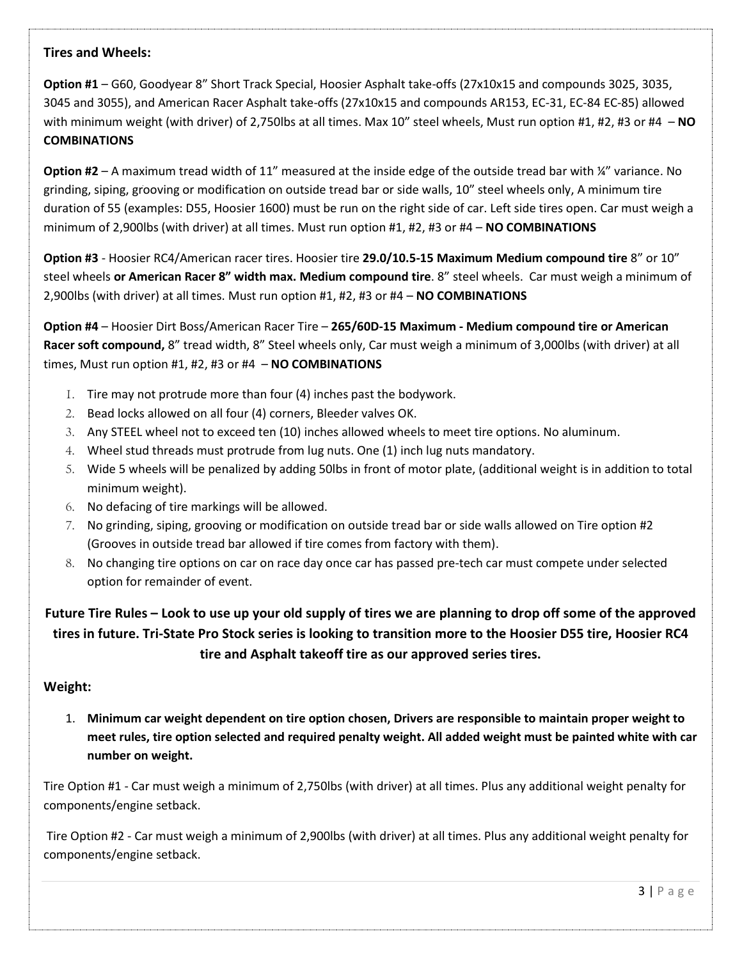## **Tires and Wheels:**

**Option #1** – G60, Goodyear 8" Short Track Special, Hoosier Asphalt take-offs (27x10x15 and compounds 3025, 3035, 3045 and 3055), and American Racer Asphalt take-offs (27x10x15 and compounds AR153, EC-31, EC-84 EC-85) allowed with minimum weight (with driver) of 2,750lbs at all times. Max 10" steel wheels, Must run option #1, #2, #3 or #4 – **NO COMBINATIONS**

**Option #2** – A maximum tread width of 11" measured at the inside edge of the outside tread bar with ¼" variance. No grinding, siping, grooving or modification on outside tread bar or side walls, 10" steel wheels only, A minimum tire duration of 55 (examples: D55, Hoosier 1600) must be run on the right side of car. Left side tires open. Car must weigh a minimum of 2,900lbs (with driver) at all times. Must run option #1, #2, #3 or #4 – **NO COMBINATIONS**

**Option #3** - Hoosier RC4/American racer tires. Hoosier tire **29.0/10.5-15 Maximum Medium compound tire** 8" or 10" steel wheels **or American Racer 8" width max. Medium compound tire**. 8" steel wheels. Car must weigh a minimum of 2,900lbs (with driver) at all times. Must run option #1, #2, #3 or #4 – **NO COMBINATIONS**

**Option #4** – Hoosier Dirt Boss/American Racer Tire – **265/60D-15 Maximum - Medium compound tire or American Racer soft compound,** 8" tread width, 8" Steel wheels only, Car must weigh a minimum of 3,000lbs (with driver) at all times, Must run option #1, #2, #3 or #4 – **NO COMBINATIONS**

- 1. Tire may not protrude more than four (4) inches past the bodywork.
- 2. Bead locks allowed on all four (4) corners, Bleeder valves OK.
- 3. Any STEEL wheel not to exceed ten (10) inches allowed wheels to meet tire options. No aluminum.
- 4. Wheel stud threads must protrude from lug nuts. One (1) inch lug nuts mandatory.
- 5. Wide 5 wheels will be penalized by adding 50lbs in front of motor plate, (additional weight is in addition to total minimum weight).
- 6. No defacing of tire markings will be allowed.
- 7. No grinding, siping, grooving or modification on outside tread bar or side walls allowed on Tire option #2 (Grooves in outside tread bar allowed if tire comes from factory with them).
- 8. No changing tire options on car on race day once car has passed pre-tech car must compete under selected option for remainder of event.

**Future Tire Rules – Look to use up your old supply of tires we are planning to drop off some of the approved tires in future. Tri-State Pro Stock series is looking to transition more to the Hoosier D55 tire, Hoosier RC4 tire and Asphalt takeoff tire as our approved series tires.**

#### **Weight:**

1. **Minimum car weight dependent on tire option chosen, Drivers are responsible to maintain proper weight to meet rules, tire option selected and required penalty weight. All added weight must be painted white with car number on weight.**

Tire Option #1 - Car must weigh a minimum of 2,750lbs (with driver) at all times. Plus any additional weight penalty for components/engine setback.

Tire Option #2 - Car must weigh a minimum of 2,900lbs (with driver) at all times. Plus any additional weight penalty for components/engine setback.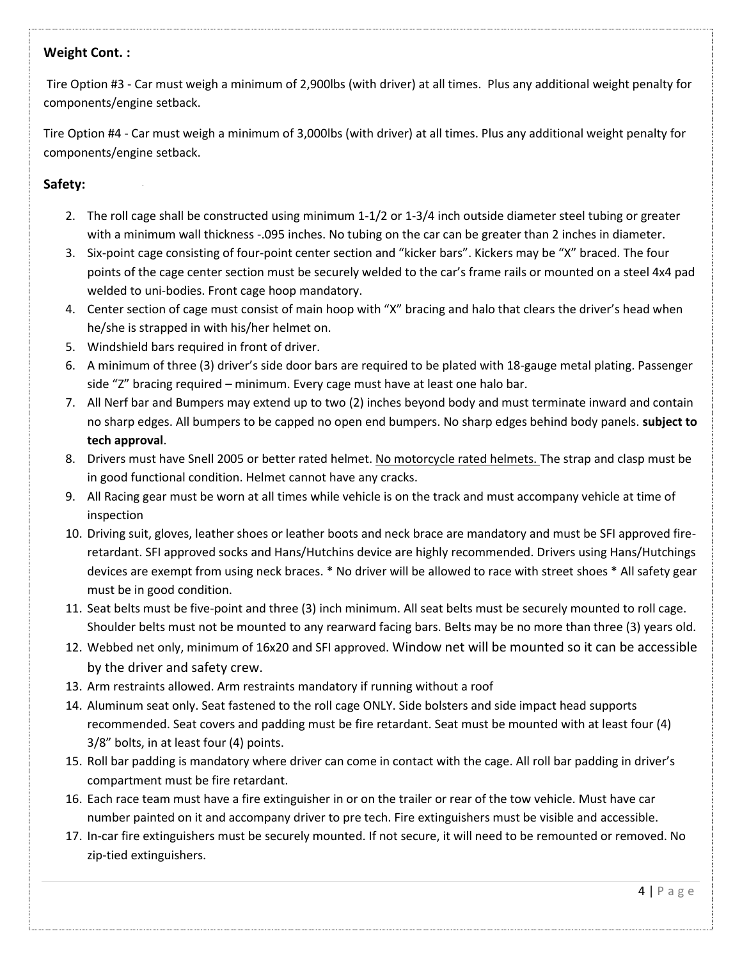### **Weight Cont. :**

Tire Option #3 - Car must weigh a minimum of 2,900lbs (with driver) at all times. Plus any additional weight penalty for components/engine setback.

Tire Option #4 - Car must weigh a minimum of 3,000lbs (with driver) at all times. Plus any additional weight penalty for components/engine setback.

## **Safety:**

- 2. The roll cage shall be constructed using minimum 1-1/2 or 1-3/4 inch outside diameter steel tubing or greater with a minimum wall thickness -.095 inches. No tubing on the car can be greater than 2 inches in diameter.
- 3. Six-point cage consisting of four-point center section and "kicker bars". Kickers may be "X" braced. The four points of the cage center section must be securely welded to the car's frame rails or mounted on a steel 4x4 pad welded to uni-bodies. Front cage hoop mandatory.
- 4. Center section of cage must consist of main hoop with "X" bracing and halo that clears the driver's head when he/she is strapped in with his/her helmet on.
- 5. Windshield bars required in front of driver.
- 6. A minimum of three (3) driver's side door bars are required to be plated with 18-gauge metal plating. Passenger side "Z" bracing required – minimum. Every cage must have at least one halo bar.
- 7. All Nerf bar and Bumpers may extend up to two (2) inches beyond body and must terminate inward and contain no sharp edges. All bumpers to be capped no open end bumpers. No sharp edges behind body panels. **subject to tech approval**.
- 8. Drivers must have Snell 2005 or better rated helmet. No motorcycle rated helmets. The strap and clasp must be in good functional condition. Helmet cannot have any cracks.
- 9. All Racing gear must be worn at all times while vehicle is on the track and must accompany vehicle at time of inspection
- 10. Driving suit, gloves, leather shoes or leather boots and neck brace are mandatory and must be SFI approved fireretardant. SFI approved socks and Hans/Hutchins device are highly recommended. Drivers using Hans/Hutchings devices are exempt from using neck braces. \* No driver will be allowed to race with street shoes \* All safety gear must be in good condition.
- 11. Seat belts must be five-point and three (3) inch minimum. All seat belts must be securely mounted to roll cage. Shoulder belts must not be mounted to any rearward facing bars. Belts may be no more than three (3) years old.
- 12. Webbed net only, minimum of 16x20 and SFI approved. Window net will be mounted so it can be accessible by the driver and safety crew.
- 13. Arm restraints allowed. Arm restraints mandatory if running without a roof
- 14. Aluminum seat only. Seat fastened to the roll cage ONLY. Side bolsters and side impact head supports recommended. Seat covers and padding must be fire retardant. Seat must be mounted with at least four (4) 3/8" bolts, in at least four (4) points.
- 15. Roll bar padding is mandatory where driver can come in contact with the cage. All roll bar padding in driver's compartment must be fire retardant.
- 16. Each race team must have a fire extinguisher in or on the trailer or rear of the tow vehicle. Must have car number painted on it and accompany driver to pre tech. Fire extinguishers must be visible and accessible.
- 17. In-car fire extinguishers must be securely mounted. If not secure, it will need to be remounted or removed. No zip-tied extinguishers.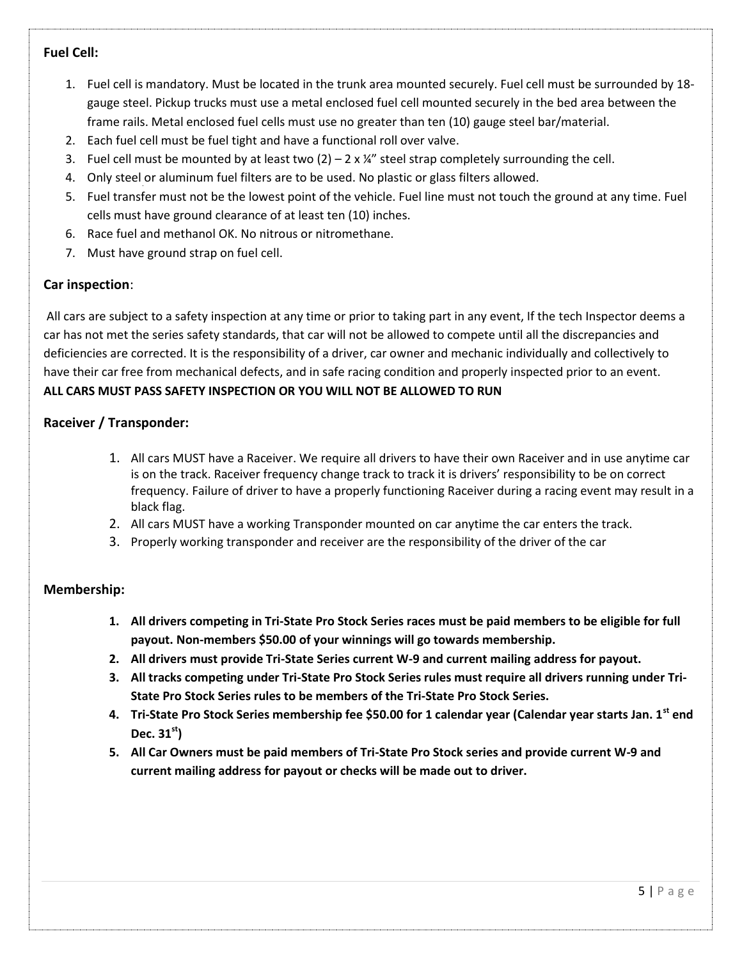## **Fuel Cell:**

- 1. Fuel cell is mandatory. Must be located in the trunk area mounted securely. Fuel cell must be surrounded by 18 gauge steel. Pickup trucks must use a metal enclosed fuel cell mounted securely in the bed area between the frame rails. Metal enclosed fuel cells must use no greater than ten (10) gauge steel bar/material.
- 2. Each fuel cell must be fuel tight and have a functional roll over valve.
- 3. Fuel cell must be mounted by at least two  $(2) 2 \times \frac{1}{4}$  steel strap completely surrounding the cell.
- 4. Only steel or aluminum fuel filters are to be used. No plastic or glass filters allowed.
- 5. Fuel transfer must not be the lowest point of the vehicle. Fuel line must not touch the ground at any time. Fuel cells must have ground clearance of at least ten (10) inches.
- 6. Race fuel and methanol OK. No nitrous or nitromethane.
- 7. Must have ground strap on fuel cell.

## **Car inspection**:

All cars are subject to a safety inspection at any time or prior to taking part in any event, If the tech Inspector deems a car has not met the series safety standards, that car will not be allowed to compete until all the discrepancies and deficiencies are corrected. It is the responsibility of a driver, car owner and mechanic individually and collectively to have their car free from mechanical defects, and in safe racing condition and properly inspected prior to an event. **ALL CARS MUST PASS SAFETY INSPECTION OR YOU WILL NOT BE ALLOWED TO RUN**

## **Raceiver / Transponder:**

- 1. All cars MUST have a Raceiver. We require all drivers to have their own Raceiver and in use anytime car is on the track. Raceiver frequency change track to track it is drivers' responsibility to be on correct frequency. Failure of driver to have a properly functioning Raceiver during a racing event may result in a black flag.
- 2. All cars MUST have a working Transponder mounted on car anytime the car enters the track.
- 3. Properly working transponder and receiver are the responsibility of the driver of the car

## **Membership:**

- **1. All drivers competing in Tri-State Pro Stock Series races must be paid members to be eligible for full payout. Non-members \$50.00 of your winnings will go towards membership.**
- **2. All drivers must provide Tri-State Series current W-9 and current mailing address for payout.**
- **3. All tracks competing under Tri-State Pro Stock Series rules must require all drivers running under Tri-State Pro Stock Series rules to be members of the Tri-State Pro Stock Series.**
- **4. Tri-State Pro Stock Series membership fee \$50.00 for 1 calendar year (Calendar year starts Jan. 1st end Dec. 31st)**
- **5. All Car Owners must be paid members of Tri-State Pro Stock series and provide current W-9 and current mailing address for payout or checks will be made out to driver.**